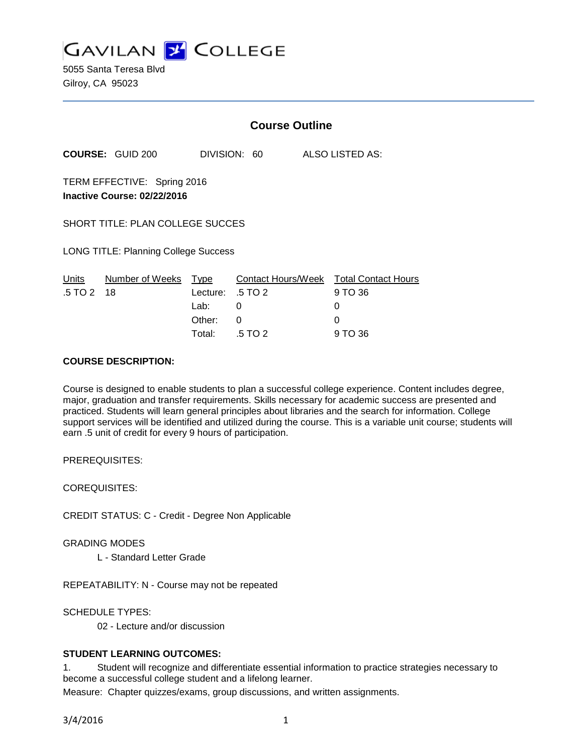

5055 Santa Teresa Blvd Gilroy, CA 95023

|                                                            |                         | <b>Course Outline</b>                      |              |  |                                                             |  |  |
|------------------------------------------------------------|-------------------------|--------------------------------------------|--------------|--|-------------------------------------------------------------|--|--|
|                                                            | <b>COURSE: GUID 200</b> |                                            | DIVISION: 60 |  | ALSO LISTED AS:                                             |  |  |
| TERM EFFECTIVE: Spring 2016<br>Inactive Course: 02/22/2016 |                         |                                            |              |  |                                                             |  |  |
| <b>SHORT TITLE: PLAN COLLEGE SUCCES</b>                    |                         |                                            |              |  |                                                             |  |  |
| <b>LONG TITLE: Planning College Success</b>                |                         |                                            |              |  |                                                             |  |  |
| Units<br>$.5 \, \text{T} \text{O} \, 2 \, 18$              | Number of Weeks         | Type<br>Lecture: .5 TO 2<br>Lab:<br>Other: | 0<br>0       |  | Contact Hours/Week Total Contact Hours<br>9 TO 36<br>0<br>0 |  |  |
|                                                            |                         | Total:                                     | .5 TO 2      |  | 9 TO 36                                                     |  |  |

### **COURSE DESCRIPTION:**

Course is designed to enable students to plan a successful college experience. Content includes degree, major, graduation and transfer requirements. Skills necessary for academic success are presented and practiced. Students will learn general principles about libraries and the search for information. College support services will be identified and utilized during the course. This is a variable unit course; students will earn .5 unit of credit for every 9 hours of participation.

PREREQUISITES:

COREQUISITES:

CREDIT STATUS: C - Credit - Degree Non Applicable

GRADING MODES

L - Standard Letter Grade

REPEATABILITY: N - Course may not be repeated

SCHEDULE TYPES:

02 - Lecture and/or discussion

# **STUDENT LEARNING OUTCOMES:**

1. Student will recognize and differentiate essential information to practice strategies necessary to become a successful college student and a lifelong learner.

Measure: Chapter quizzes/exams, group discussions, and written assignments.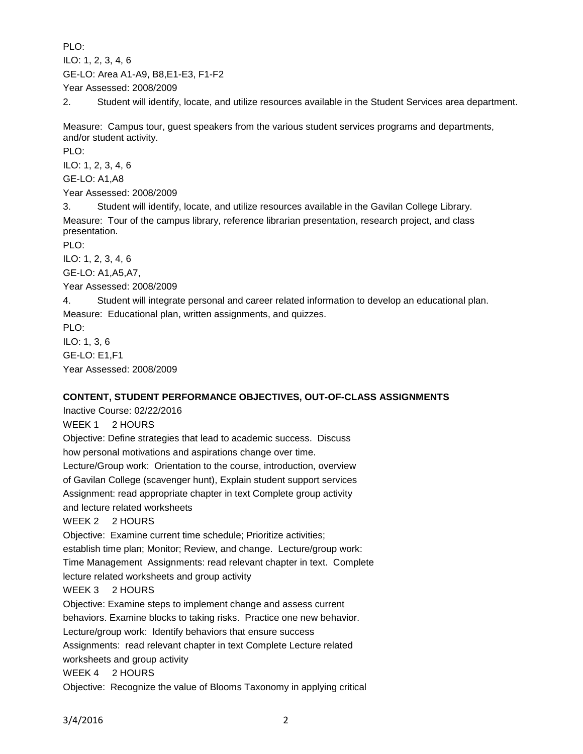PLO:

ILO: 1, 2, 3, 4, 6

GE-LO: Area A1-A9, B8,E1-E3, F1-F2

Year Assessed: 2008/2009

2. Student will identify, locate, and utilize resources available in the Student Services area department.

Measure: Campus tour, guest speakers from the various student services programs and departments, and/or student activity.

PLO:

ILO: 1, 2, 3, 4, 6

GE-LO: A1,A8

Year Assessed: 2008/2009

3. Student will identify, locate, and utilize resources available in the Gavilan College Library. Measure: Tour of the campus library, reference librarian presentation, research project, and class presentation.

PLO:

ILO: 1, 2, 3, 4, 6

GE-LO: A1,A5,A7,

Year Assessed: 2008/2009

4. Student will integrate personal and career related information to develop an educational plan. Measure: Educational plan, written assignments, and quizzes.

PLO: ILO: 1, 3, 6 GE-LO: E1,F1

Year Assessed: 2008/2009

# **CONTENT, STUDENT PERFORMANCE OBJECTIVES, OUT-OF-CLASS ASSIGNMENTS**

Inactive Course: 02/22/2016 WEEK 1 2 HOURS Objective: Define strategies that lead to academic success. Discuss how personal motivations and aspirations change over time. Lecture/Group work: Orientation to the course, introduction, overview of Gavilan College (scavenger hunt), Explain student support services Assignment: read appropriate chapter in text Complete group activity and lecture related worksheets WEEK 2 2 HOURS Objective: Examine current time schedule; Prioritize activities; establish time plan; Monitor; Review, and change. Lecture/group work: Time Management Assignments: read relevant chapter in text. Complete lecture related worksheets and group activity WEEK 3 2 HOURS Objective: Examine steps to implement change and assess current behaviors. Examine blocks to taking risks. Practice one new behavior. Lecture/group work: Identify behaviors that ensure success Assignments: read relevant chapter in text Complete Lecture related worksheets and group activity WEEK 4 2 HOURS Objective: Recognize the value of Blooms Taxonomy in applying critical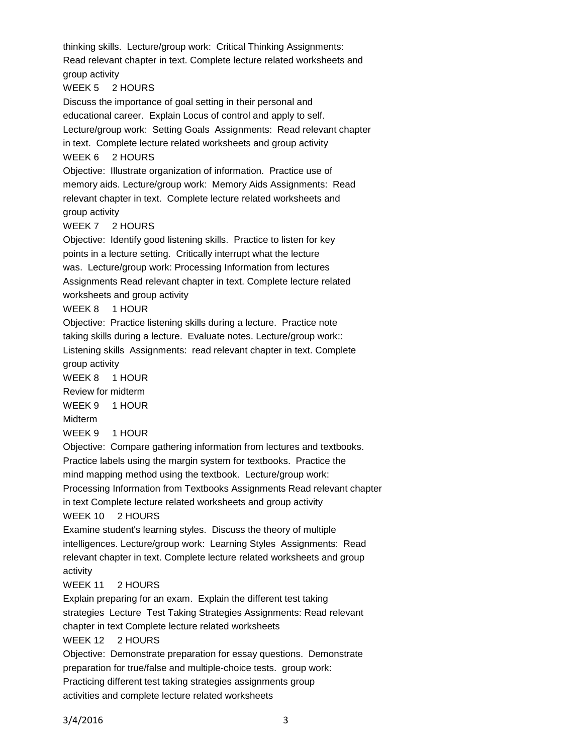thinking skills. Lecture/group work: Critical Thinking Assignments: Read relevant chapter in text. Complete lecture related worksheets and group activity WEEK 5 2 HOURS Discuss the importance of goal setting in their personal and educational career. Explain Locus of control and apply to self. Lecture/group work: Setting Goals Assignments: Read relevant chapter in text. Complete lecture related worksheets and group activity WEEK 6 2 HOURS Objective: Illustrate organization of information. Practice use of memory aids. Lecture/group work: Memory Aids Assignments: Read relevant chapter in text. Complete lecture related worksheets and group activity WEEK 7 2 HOURS Objective: Identify good listening skills. Practice to listen for key points in a lecture setting. Critically interrupt what the lecture was. Lecture/group work: Processing Information from lectures Assignments Read relevant chapter in text. Complete lecture related worksheets and group activity WEEK 8 1 HOUR Objective: Practice listening skills during a lecture. Practice note taking skills during a lecture. Evaluate notes. Lecture/group work:: Listening skills Assignments: read relevant chapter in text. Complete group activity WEEK 8 1 HOUR Review for midterm WEEK 9 1 HOUR Midterm WEEK 9 1 HOUR Objective: Compare gathering information from lectures and textbooks. Practice labels using the margin system for textbooks. Practice the mind mapping method using the textbook. Lecture/group work: Processing Information from Textbooks Assignments Read relevant chapter in text Complete lecture related worksheets and group activity WEEK 10 2 HOURS Examine student's learning styles. Discuss the theory of multiple intelligences. Lecture/group work: Learning Styles Assignments: Read relevant chapter in text. Complete lecture related worksheets and group activity WEEK 11 2 HOURS Explain preparing for an exam. Explain the different test taking strategies Lecture Test Taking Strategies Assignments: Read relevant chapter in text Complete lecture related worksheets WEEK 12 2 HOURS Objective: Demonstrate preparation for essay questions. Demonstrate preparation for true/false and multiple-choice tests. group work: Practicing different test taking strategies assignments group activities and complete lecture related worksheets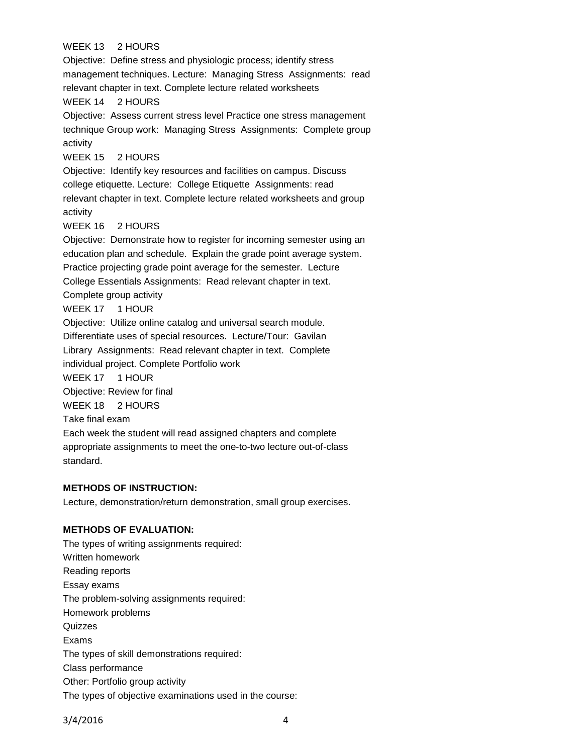# WEEK 13 2 HOURS

Objective: Define stress and physiologic process; identify stress management techniques. Lecture: Managing Stress Assignments: read relevant chapter in text. Complete lecture related worksheets WEEK 14 2 HOURS Objective: Assess current stress level Practice one stress management technique Group work: Managing Stress Assignments: Complete group activity WEEK 15 2 HOURS Objective: Identify key resources and facilities on campus. Discuss college etiquette. Lecture: College Etiquette Assignments: read relevant chapter in text. Complete lecture related worksheets and group activity WEEK 16 2 HOURS Objective: Demonstrate how to register for incoming semester using an education plan and schedule. Explain the grade point average system. Practice projecting grade point average for the semester. Lecture College Essentials Assignments: Read relevant chapter in text. Complete group activity WEEK 17 1 HOUR Objective: Utilize online catalog and universal search module. Differentiate uses of special resources. Lecture/Tour: Gavilan Library Assignments: Read relevant chapter in text. Complete individual project. Complete Portfolio work WEEK 17 1 HOUR Objective: Review for final WEEK 18 2 HOURS Take final exam Each week the student will read assigned chapters and complete appropriate assignments to meet the one-to-two lecture out-of-class standard.

#### **METHODS OF INSTRUCTION:**

Lecture, demonstration/return demonstration, small group exercises.

### **METHODS OF EVALUATION:**

The types of writing assignments required: Written homework Reading reports Essay exams The problem-solving assignments required: Homework problems **Quizzes** Exams The types of skill demonstrations required: Class performance Other: Portfolio group activity The types of objective examinations used in the course:

3/4/2016 4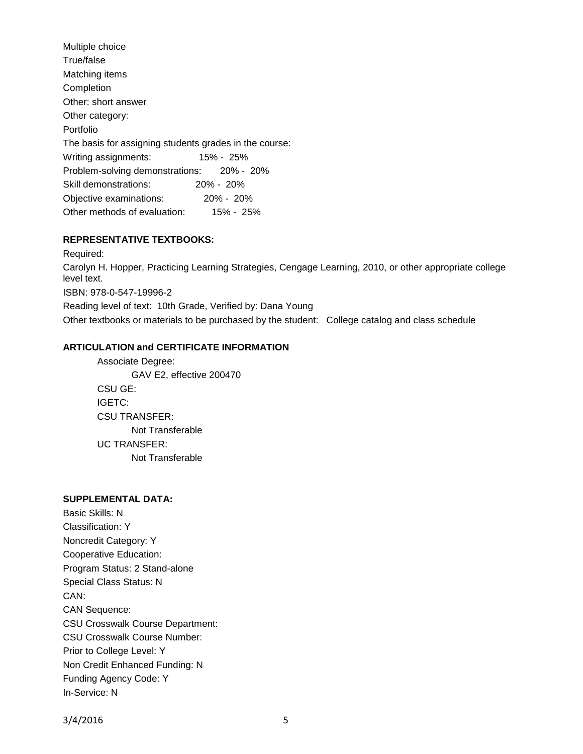| Multiple choice                                        |               |
|--------------------------------------------------------|---------------|
| True/false                                             |               |
| Matching items                                         |               |
| Completion                                             |               |
| Other: short answer                                    |               |
| Other category:                                        |               |
| Portfolio                                              |               |
| The basis for assigning students grades in the course: |               |
| Writing assignments:                                   | 15% - 25%     |
| Problem-solving demonstrations: 20% - 20%              |               |
| Skill demonstrations:                                  | 20% - 20%     |
| Objective examinations:                                | $20\% - 20\%$ |
| Other methods of evaluation:                           | $15\% - 25\%$ |

# **REPRESENTATIVE TEXTBOOKS:**

Required: Carolyn H. Hopper, Practicing Learning Strategies, Cengage Learning, 2010, or other appropriate college level text. ISBN: 978-0-547-19996-2 Reading level of text: 10th Grade, Verified by: Dana Young Other textbooks or materials to be purchased by the student: College catalog and class schedule

### **ARTICULATION and CERTIFICATE INFORMATION**

Associate Degree: GAV E2, effective 200470 CSU GE: IGETC: CSU TRANSFER: Not Transferable UC TRANSFER: Not Transferable

# **SUPPLEMENTAL DATA:**

Basic Skills: N Classification: Y Noncredit Category: Y Cooperative Education: Program Status: 2 Stand-alone Special Class Status: N CAN: CAN Sequence: CSU Crosswalk Course Department: CSU Crosswalk Course Number: Prior to College Level: Y Non Credit Enhanced Funding: N Funding Agency Code: Y In-Service: N